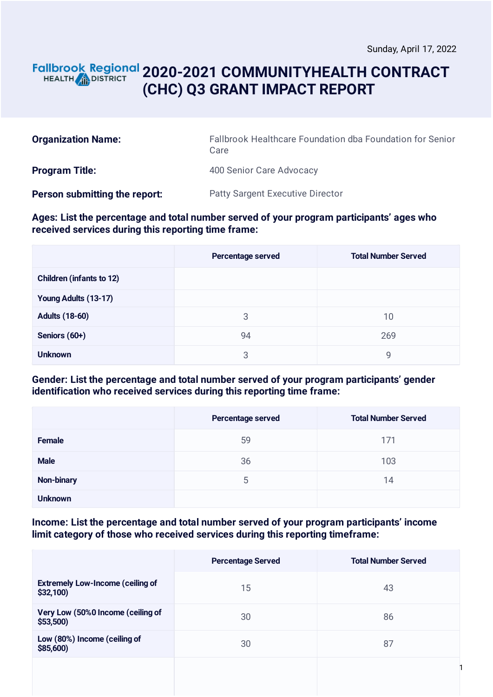1

## **2020-2021 COMMUNITYHEALTH CONTRACT** HEALTH **AND DISTRICT (CHC) Q3 GRANT IMPACT REPORT**

| <b>Organization Name:</b>     | Fallbrook Healthcare Foundation dba Foundation for Senior<br>Care |
|-------------------------------|-------------------------------------------------------------------|
| <b>Program Title:</b>         | 400 Senior Care Advocacy                                          |
| Person submitting the report: | <b>Patty Sargent Executive Director</b>                           |

#### **Ages: List the percentage and total number served of your program participants' ages who received services during this reporting time frame:**

|                                 | Percentage served | <b>Total Number Served</b> |
|---------------------------------|-------------------|----------------------------|
| <b>Children (infants to 12)</b> |                   |                            |
| Young Adults (13-17)            |                   |                            |
| <b>Adults (18-60)</b>           | 3                 | 10                         |
| Seniors (60+)                   | 94                | 269                        |
| <b>Unknown</b>                  | 3                 | 9                          |

#### **Gender: List the percentage and total number served of your program participants' gender identification who received services during this reporting time frame:**

|                   | Percentage served | <b>Total Number Served</b> |
|-------------------|-------------------|----------------------------|
| Female            | 59                | 171                        |
| <b>Male</b>       | 36                | 103                        |
| <b>Non-binary</b> | 5                 | 14                         |
| <b>Unknown</b>    |                   |                            |

#### **Income: List the percentage and total number served of your program participants' income limit category of those who received services during this reporting timeframe:**

|                                                     | <b>Percentage Served</b> | <b>Total Number Served</b> |
|-----------------------------------------------------|--------------------------|----------------------------|
| <b>Extremely Low-Income (ceiling of</b><br>\$32,100 | 15                       | 43                         |
| Very Low (50%0 Income (ceiling of<br>\$53,500       | 30                       | 86                         |
| Low (80%) Income (ceiling of<br>\$85,600)           | 30                       | 87                         |
|                                                     |                          |                            |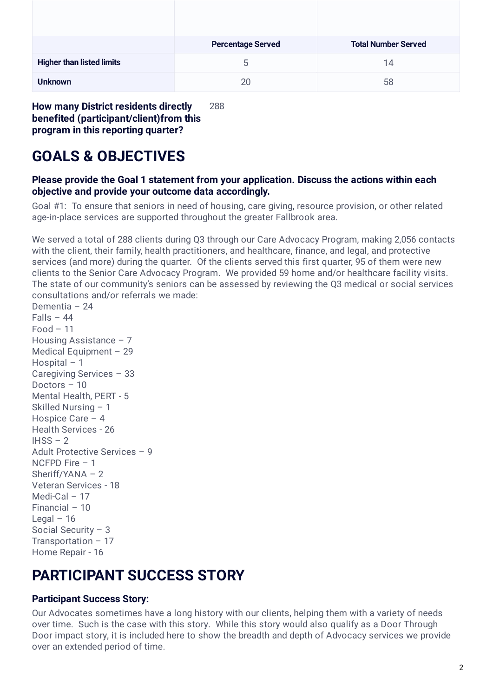|                                  | <b>Percentage Served</b> | <b>Total Number Served</b> |
|----------------------------------|--------------------------|----------------------------|
| <b>Higher than listed limits</b> | C                        | 14                         |
| <b>Unknown</b>                   | 20                       | 58                         |

**How many District residents directly benefited (participant/client)from this program in this reporting quarter?** 288

# **GOALS & OBJECTIVES**

### **Please provide the Goal 1 statement from your application. Discuss the actions within each objective and provide your outcome data accordingly.**

Goal #1: To ensure that seniors in need of housing, care giving, resource provision, or other related age-in-place services are supported throughout the greater Fallbrook area.

We served a total of 288 clients during Q3 through our Care Advocacy Program, making 2,056 contacts with the client, their family, health practitioners, and healthcare, finance, and legal, and protective services (and more) during the quarter. Of the clients served this first quarter, 95 of them were new clients to the Senior Care Advocacy Program. We provided 59 home and/or healthcare facility visits. The state of our community's seniors can be assessed by reviewing the Q3 medical or social services consultations and/or referrals we made:

Dementia – 24  $Falls - 44$  $Food - 11$ Housing Assistance – 7 Medical Equipment – 29 Hospital – 1 Caregiving Services – 33 Doctors – 10 Mental Health, PERT - 5 Skilled Nursing – 1 Hospice Care – 4 Health Services - 26  $IHSS - 2$ Adult Protective Services – 9 NCFPD Fire – 1 Sheriff/YANA – 2 Veteran Services - 18 Medi-Cal – 17 Financial – 10 Legal  $-16$ Social Security – 3 Transportation – 17 Home Repair - 16

## **PARTICIPANT SUCCESS STORY**

## **Participant Success Story:**

Our Advocates sometimes have a long history with our clients, helping them with a variety of needs over time. Such is the case with this story. While this story would also qualify as a Door Through Door impact story, it is included here to show the breadth and depth of Advocacy services we provide over an extended period of time.